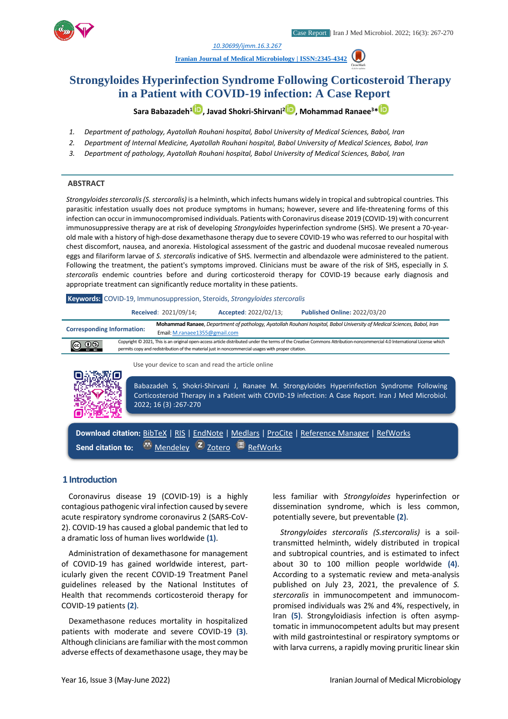

*1. [10.30699/ijmm.16.3.267](http://dx.doi.org/10.30699/ijmm.16.3.267)*

**[Iranian Journal of Medical Microbiology |](https://ijmm.ir/) ISSN:2345-4342**



**Sara Babazadeh<sup>1</sup> [,](http://orcid.org/0000000312806661) Javad Shokri-Shirvani[2](http://orcid.org/0000000332428522) , Mohammad Ranaee<sup>3</sup>\***

- *1. Department of pathology, Ayatollah Rouhani hospital, Babol University of Medical Sciences, Babol, Iran*
- *2. Department of Internal Medicine, Ayatollah Rouhani hospital, Babol University of Medical Sciences, Babol, Iran*
- *3. Department of pathology, Ayatollah Rouhani hospital, Babol University of Medical Sciences, Babol, Iran*

#### **ABSTRACT**

*Strongyloides stercoralis (S. stercoralis)* is a helminth, which infects humans widely in tropical and subtropical countries. This parasitic infestation usually does not produce symptoms in humans; however, severe and life-threatening forms of this infection can occur in immunocompromised individuals. Patients with Coronavirus disease 2019 (COVID-19) with concurrent immunosuppressive therapy are at risk of developing *Strongyloides* hyperinfection syndrome (SHS). We present a 70-yearold male with a history of high-dose dexamethasone therapy due to severe COVID-19 who was referred to our hospital with chest discomfort, nausea, and anorexia. Histological assessment of the gastric and duodenal mucosae revealed numerous eggs and filariform larvae of *S. stercoralis* indicative of SHS. Ivermectin and albendazole were administered to the patient. Following the treatment, the patient's symptoms improved. Clinicians must be aware of the risk of SHS, especially in *S. stercoralis* endemic countries before and during corticosteroid therapy for COVID-19 because early diagnosis and appropriate treatment can significantly reduce mortality in these patients.

**Keywords:** COVID-19, Immunosuppression, Steroids, *Strongyloides stercoralis*

|                                                                                                                                                                                                                                                                               | Received: 2021/09/14; | Accepted: 2022/02/13; | <b>Published Online: 2022/03/20</b>                                                                                                                                                            |
|-------------------------------------------------------------------------------------------------------------------------------------------------------------------------------------------------------------------------------------------------------------------------------|-----------------------|-----------------------|------------------------------------------------------------------------------------------------------------------------------------------------------------------------------------------------|
| Mohammad Ranaee, Department of pathology, Ayatollah Rouhani hospital, Babol University of Medical Sciences, Babol, Iran<br><b>Corresponding Information:</b><br>Email: M.ranaee1355@gmail.com                                                                                 |                       |                       |                                                                                                                                                                                                |
| Copyright © 2021, This is an original open-access article distributed under the terms of the Creative Commons Attribution-noncommercial 4.0 International License which<br>permits copy and redistribution of the material just in noncommercial usages with proper citation. |                       |                       |                                                                                                                                                                                                |
| Use your device to scan and read the article online                                                                                                                                                                                                                           |                       |                       |                                                                                                                                                                                                |
|                                                                                                                                                                                                                                                                               | 2022; 16 (3) :267-270 |                       | Babazadeh S, Shokri-Shirvani J, Ranaee M. Strongyloides Hyperinfection Syndrome Following<br>Corticosteroid Therapy in a Patient with COVID-19 infection: A Case Report. Iran J Med Microbiol. |

**Download citation:** [BibTeX](https://ijmm.ir/web2export.php?a_code=A-10-1743-1&sid=1&slc_lang=en&type=BibTeX) | [RIS](https://ijmm.ir/web2export.php?a_code=A-10-1743-1&sid=1&slc_lang=en&type=ris) | [EndNote](https://ijmm.ir/web2export.php?a_code=A-10-1743-1&sid=1&slc_lang=en&type=EndNote) | [Medlars](https://ijmm.ir/web2export.php?a_code=A-10-1743-1&sid=1&slc_lang=en&type=Medlars) | [ProCite](https://ijmm.ir/web2export.php?a_code=A-10-1743-1&sid=1&slc_lang=en&type=ProCite) | [Reference Manager](https://ijmm.ir/web2export.php?a_code=A-10-1743-1&sid=1&slc_lang=en&type=Reference_Manager) | [RefWorks](https://ijmm.ir/web2export.php?a_code=A-10-1743-1&sid=1&slc_lang=en&type=RefWorks) Send citation to:  $\frac{36}{2}$  [Mendeley](http://www.mendeley.com/import/?url=https://ijmm.ir/article-1-1484-en.html) **Z** [Zotero](https://ijmm.ir/web2export.php?a_code=A-10-1743-1&sid=1&slc_lang=en&type=ris) **E** [RefWorks](http://www.refworks.com/express/ExpressImport.asp?vendor=Iran-J-Med-Microbiol&filter=RefWorks%20Tagged%20Format&encoding=65001&url=http%3A%2F%2Fijmm.ir%2Farticle-1-1484-en.html)

### **1 Introduction**

Coronavirus disease 19 (COVID-19) is a highly contagious pathogenic viral infection caused by severe acute respiratory syndrome coronavirus 2 (SARS-CoV-2). COVID-19 has caused a global pandemic that led to a dramatic loss of human lives worldwide **(1)**.

Administration of dexamethasone for management of COVID-19 has gained worldwide interest, particularly given the recent COVID-19 Treatment Panel guidelines released by the National Institutes of Health that recommends corticosteroid therapy for COVID-19 patients **(2)**.

Dexamethasone reduces mortality in hospitalized patients with moderate and severe COVID-19 **(3)**. Although clinicians are familiar with the most common adverse effects of dexamethasone usage, they may be

less familiar with *Strongyloides* hyperinfection or dissemination syndrome, which is less common, potentially severe, but preventable **(2)**.

*Strongyloides stercoralis (S.stercoralis)* is a soiltransmitted helminth, widely distributed in tropical and subtropical countries, and is estimated to infect about 30 to 100 million people worldwide **(4)**. According to a systematic review and meta-analysis published on July 23, 2021, the prevalence of *S. stercoralis* in immunocompetent and immunocompromised individuals was 2% and 4%, respectively, in Iran **(5)**. Strongyloidiasis infection is often asymptomatic in immunocompetent adults but may present with mild gastrointestinal or respiratory symptoms or with larva currens, a rapidly moving pruritic linear skin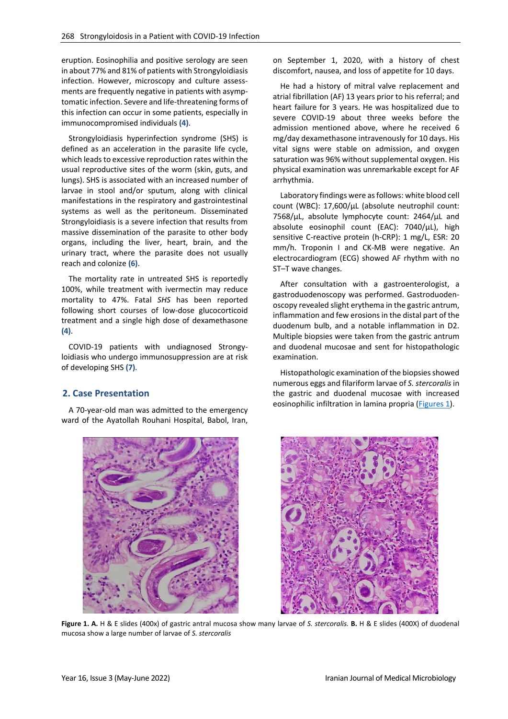eruption. Eosinophilia and positive serology are seen in about 77% and 81% of patients with Strongyloidiasis infection. However, microscopy and culture assessments are frequently negative in patients with asymptomatic infection. Severe and life-threatening forms of this infection can occur in some patients, especially in immunocompromised individuals **(4)**.

Strongyloidiasis hyperinfection syndrome (SHS) is defined as an acceleration in the parasite life cycle, which leads to excessive reproduction rates within the usual reproductive sites of the worm (skin, guts, and lungs). SHS is associated with an increased number of larvae in stool and/or sputum, along with clinical manifestations in the respiratory and gastrointestinal systems as well as the peritoneum. Disseminated Strongyloidiasis is a severe infection that results from massive dissemination of the parasite to other body organs, including the liver, heart, brain, and the urinary tract, where the parasite does not usually reach and colonize **(6)**.

The mortality rate in untreated SHS is reportedly 100%, while treatment with ivermectin may reduce mortality to 47%. Fatal *SHS* has been reported following short courses of low-dose glucocorticoid treatment and a single high dose of dexamethasone **(4)**.

COVID-19 patients with undiagnosed Strongyloidiasis who undergo immunosuppression are at risk of developing SHS **(7)**.

# **2. Case Presentation**

A 70-year-old man was admitted to the emergency ward of the Ayatollah Rouhani Hospital, Babol, Iran,



on September 1, 2020, with a history of chest discomfort, nausea, and loss of appetite for 10 days.

He had a history of mitral valve replacement and atrial fibrillation (AF) 13 years prior to his referral; and heart failure for 3 years. He was hospitalized due to severe COVID-19 about three weeks before the admission mentioned above, where he received 6 mg/day dexamethasone intravenously for 10 days. His vital signs were stable on admission, and oxygen saturation was 96% without supplemental oxygen. His physical examination was unremarkable except for AF arrhythmia.

Laboratory findings were as follows: white blood cell count (WBC): 17,600/µL (absolute neutrophil count: 7568/µL, absolute lymphocyte count: 2464/µL and absolute eosinophil count (EAC): 7040/µL), high sensitive C-reactive protein (h-CRP): 1 mg/L, ESR: 20 mm/h. Troponin I and CK-MB were negative. An electrocardiogram (ECG) showed AF rhythm with no ST–T wave changes.

After consultation with a gastroenterologist, a gastroduodenoscopy was performed. Gastroduodenoscopy revealed slight erythema in the gastric antrum, inflammation and few erosions in the distal part of the duodenum bulb, and a notable inflammation in D2. Multiple biopsies were taken from the gastric antrum and duodenal mucosae and sent for histopathologic examination.

Histopathologic examination of the biopsies showed numerous eggs and filariform larvae of *S. stercoralis* in the gastric and duodenal mucosae with increased eosinophilic infiltration in lamina propria [\(Figures 1\)](#page-1-0).

<span id="page-1-0"></span>

**Figure 1. A.** H & E slides (400x) of gastric antral mucosa show many larvae of *S. stercoralis.* **B.** H & E slides (400X) of duodenal mucosa show a large number of larvae of *S. stercoralis*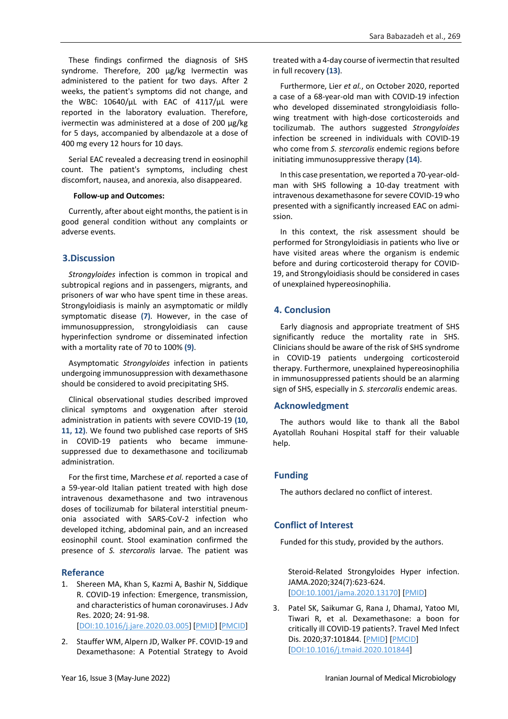These findings confirmed the diagnosis of SHS syndrome. Therefore, 200 µg/kg Ivermectin was administered to the patient for two days. After 2 weeks, the patient's symptoms did not change, and the WBC: 10640/µL with EAC of 4117/µL were reported in the laboratory evaluation. Therefore, ivermectin was administered at a dose of 200 µg/kg for 5 days, accompanied by albendazole at a dose of 400 mg every 12 hours for 10 days.

Serial EAC revealed a decreasing trend in eosinophil count. The patient's symptoms, including chest discomfort, nausea, and anorexia, also disappeared.

#### **Follow-up and Outcomes:**

Currently, after about eight months, the patient is in good general condition without any complaints or adverse events.

### **3.Discussion**

*Strongyloides* infection is common in tropical and subtropical regions and in passengers, migrants, and prisoners of war who have spent time in these areas. Strongyloidiasis is mainly an asymptomatic or mildly symptomatic disease **(7)**. However, in the case of immunosuppression, strongyloidiasis can cause hyperinfection syndrome or disseminated infection with a mortality rate of 70 to 100% **(9)**.

Asymptomatic *Strongyloides* infection in patients undergoing immunosuppression with dexamethasone should be considered to avoid precipitating SHS.

Clinical observational studies described improved clinical symptoms and oxygenation after steroid administration in patients with severe COVID-19 **(10, 11, 12)**. We found two published case reports of SHS in COVID-19 patients who became immunesuppressed due to dexamethasone and tocilizumab administration.

For the first time, Marchese *et al.* reported a case of a 59-year-old Italian patient treated with high dose intravenous dexamethasone and two intravenous doses of tocilizumab for bilateral interstitial pneumonia associated with SARS-CoV-2 infection who developed itching, abdominal pain, and an increased eosinophil count. Stool examination confirmed the presence of *S. stercoralis* larvae. The patient was

### **Referance**

- 1. Shereen MA, Khan S, Kazmi A, Bashir N, Siddique R. COVID-19 infection: Emergence, transmission, and characteristics of human coronaviruses. J Adv Res. 2020; 24: 91-98. [\[DOI:10.1016/j.jare.2020.03.005\]](https://doi.org/10.1016/j.jare.2020.03.005) [\[PMID\]](https://www.ncbi.nlm.nih.gov/pubmed/32257431) [\[PMCID\]](http://www.ncbi.nlm.nih.gov/pmc/articles/PMC7113610)
- 2. Stauffer WM, Alpern JD, Walker PF. COVID-19 and Dexamethasone: A Potential Strategy to Avoid

treated with a 4-day course of ivermectin that resulted in full recovery **(13)**.

Furthermore, Lier *et al.*, on October 2020, reported a case of a 68-year-old man with COVID-19 infection who developed disseminated strongyloidiasis following treatment with high-dose corticosteroids and tocilizumab. The authors suggested *Strongyloides* infection be screened in individuals with COVID-19 who come from *S. stercoralis* endemic regions before initiating immunosuppressive therapy **(14)**.

In this case presentation, we reported a 70-year-oldman with SHS following a 10-day treatment with intravenous dexamethasone for severe COVID-19 who presented with a significantly increased EAC on admission.

In this context, the risk assessment should be performed for Strongyloidiasis in patients who live or have visited areas where the organism is endemic before and during corticosteroid therapy for COVID-19, and Strongyloidiasis should be considered in cases of unexplained hypereosinophilia.

# **4. Conclusion**

Early diagnosis and appropriate treatment of SHS significantly reduce the mortality rate in SHS. Clinicians should be aware of the risk of SHS syndrome in COVID-19 patients undergoing corticosteroid therapy. Furthermore, unexplained hypereosinophilia in immunosuppressed patients should be an alarming sign of SHS, especially in *S. stercoralis* endemic areas.

### **Acknowledgment**

The authors would like to thank all the Babol Ayatollah Rouhani Hospital staff for their valuable help.

# **Funding**

The authors declared no conflict of interest.

# **Conflict of Interest**

Funded for this study, provided by the authors.

Steroid-Related Strongyloides Hyper infection. JAMA.2020;324(7):623-624. [\[DOI:10.1001/jama.2020.13170\]](https://doi.org/10.1001/jama.2020.13170) [\[PMID\]](https://www.ncbi.nlm.nih.gov/pubmed/32761166)

3. Patel SK, Saikumar G, Rana J, DhamaJ, Yatoo MI, Tiwari R, et al. Dexamethasone: a boon for critically ill COVID-19 patients?. Travel Med Infect Dis. 2020;37:101844. [\[PMID\]](https://www.ncbi.nlm.nih.gov/pubmed/32791213) [\[PMCID\]](http://www.ncbi.nlm.nih.gov/pmc/articles/PMC7416109) [\[DOI:10.1016/j.tmaid.2020.101844\]](https://doi.org/10.1016/j.tmaid.2020.101844)